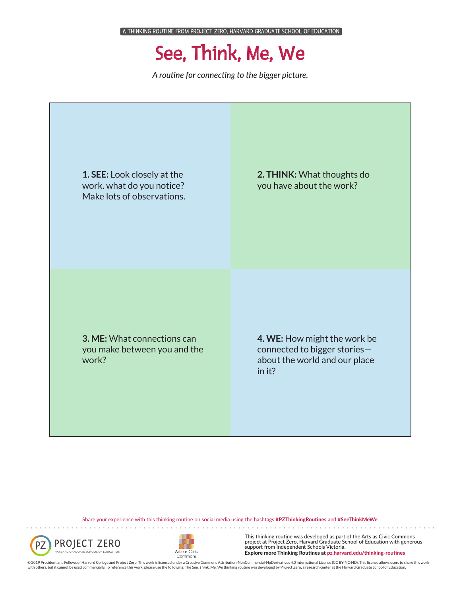## See, Think, Me, We

*A routine for connecting to the bigger picture.*

**1. SEE:** Look closely at the work. what do you notice? Make lots of observations. **3. ME:** What connections can you make between you and the work? **4. WE:** How might the work be connected to bigger stories about the world and our place in it? **2. THINK:** What thoughts do you have about the work?

Share your experience with this thinking routine on social media using the hashtags #PZThinkingRoutines and #SeeThinkMeWe.





This thinking routine was developed as part of the Arts as Civic Commons project at Project Zero, Harvard Graduate School of Education with generous support from Independent Schools Victoria. Explore more Thinking Routines at pz.harvard.edu/thinking-routines

© 2019 President and Fellows of Harvard College and Project Zero. This work is licensed under a Creative Commons Attribution-NonCommercial-NoDerivatives 4.0 International License (CC BY-NC-ND). This license allows users to with others, but it cannot be used commercially. To reference this work, please use the following: The See, Think, Me, We thinking routine was developed by Project Zero, a research center at the Harvard Graduate School of